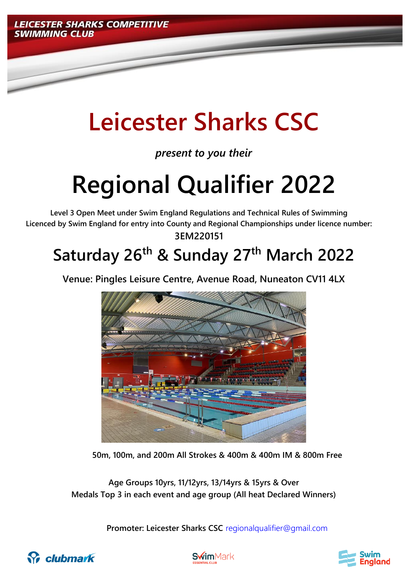

# **Leicester Sharks CSC**

*present to you their*

# **Regional Qualifier 2022**

**Level 3 Open Meet under Swim England Regulations and Technical Rules of Swimming Licenced by Swim England for entry into County and Regional Championships under licence number: 3EM220151**

# **Saturday 26th & Sunday 27th March 2022**

**Venue: Pingles Leisure Centre, Avenue Road, Nuneaton CV11 4LX**



**50m, 100m, and 200m All Strokes & 400m & 400m IM & 800m Free**

**Age Groups 10yrs, 11/12yrs, 13/14yrs & 15yrs & Over Medals Top 3 in each event and age group (All heat Declared Winners)**

**Promoter: Leicester Sharks CSC** [regionalqualifier@gmail.com](mailto:regionalqualifier@gmail.com)





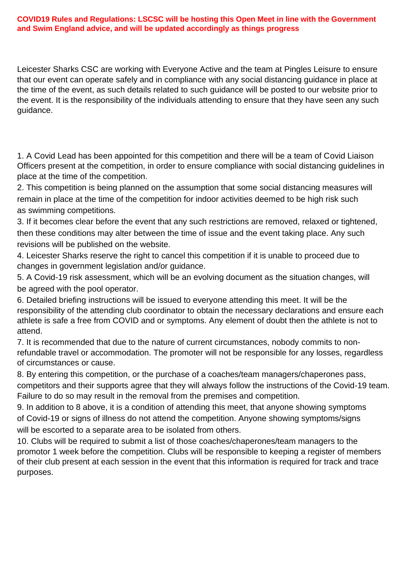#### **COVID19 Rules and Regulations: LSCSC will be hosting this Open Meet in line with the Government and Swim England advice, and will be updated accordingly as things progress**

Leicester Sharks CSC are working with Everyone Active and the team at Pingles Leisure to ensure that our event can operate safely and in compliance with any social distancing guidance in place at the time of the event, as such details related to such guidance will be posted to our website prior to the event. It is the responsibility of the individuals attending to ensure that they have seen any such guidance.

1. A Covid Lead has been appointed for this competition and there will be a team of Covid Liaison Officers present at the competition, in order to ensure compliance with social distancing guidelines in place at the time of the competition.

2. This competition is being planned on the assumption that some social distancing measures will remain in place at the time of the competition for indoor activities deemed to be high risk such as swimming competitions.

3. If it becomes clear before the event that any such restrictions are removed, relaxed or tightened, then these conditions may alter between the time of issue and the event taking place. Any such revisions will be published on the website.

4. Leicester Sharks reserve the right to cancel this competition if it is unable to proceed due to changes in government legislation and/or guidance.

5. A Covid-19 risk assessment, which will be an evolving document as the situation changes, will be agreed with the pool operator.

6. Detailed briefing instructions will be issued to everyone attending this meet. It will be the responsibility of the attending club coordinator to obtain the necessary declarations and ensure each athlete is safe a free from COVID and or symptoms. Any element of doubt then the athlete is not to attend.

7. It is recommended that due to the nature of current circumstances, nobody commits to nonrefundable travel or accommodation. The promoter will not be responsible for any losses, regardless of circumstances or cause.

8. By entering this competition, or the purchase of a coaches/team managers/chaperones pass, competitors and their supports agree that they will always follow the instructions of the Covid-19 team. Failure to do so may result in the removal from the premises and competition.

9. In addition to 8 above, it is a condition of attending this meet, that anyone showing symptoms of Covid-19 or signs of illness do not attend the competition. Anyone showing symptoms/signs will be escorted to a separate area to be isolated from others.

10. Clubs will be required to submit a list of those coaches/chaperones/team managers to the promotor 1 week before the competition. Clubs will be responsible to keeping a register of members of their club present at each session in the event that this information is required for track and trace purposes.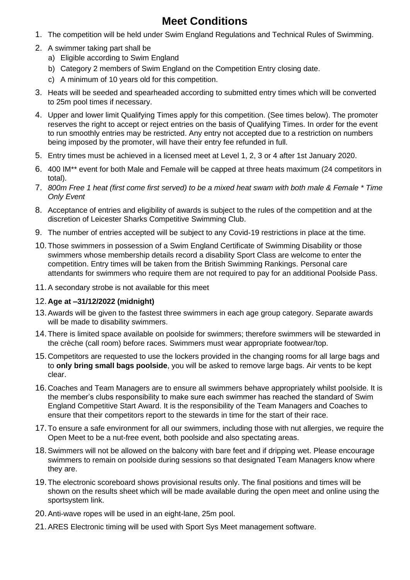## **Meet Conditions**

- 1. The competition will be held under Swim England Regulations and Technical Rules of Swimming.
- 2. A swimmer taking part shall be
	- a) Eligible according to Swim England
	- b) Category 2 members of Swim England on the Competition Entry closing date.
	- c) A minimum of 10 years old for this competition.
- 3. Heats will be seeded and spearheaded according to submitted entry times which will be converted to 25m pool times if necessary.
- 4. Upper and lower limit Qualifying Times apply for this competition. (See times below). The promoter reserves the right to accept or reject entries on the basis of Qualifying Times. In order for the event to run smoothly entries may be restricted. Any entry not accepted due to a restriction on numbers being imposed by the promoter, will have their entry fee refunded in full.
- 5. Entry times must be achieved in a licensed meet at Level 1, 2, 3 or 4 after 1st January 2020.
- 6. 400 IM\*\* event for both Male and Female will be capped at three heats maximum (24 competitors in total).
- 7. *800m Free 1 heat (first come first served) to be a mixed heat swam with both male & Female \* Time Only Event*
- 8. Acceptance of entries and eligibility of awards is subject to the rules of the competition and at the discretion of Leicester Sharks Competitive Swimming Club.
- 9. The number of entries accepted will be subject to any Covid-19 restrictions in place at the time.
- 10.Those swimmers in possession of a Swim England Certificate of Swimming Disability or those swimmers whose membership details record a disability Sport Class are welcome to enter the competition. Entry times will be taken from the British Swimming Rankings. Personal care attendants for swimmers who require them are not required to pay for an additional Poolside Pass.
- 11.A secondary strobe is not available for this meet

#### 12. **Age at –31/12/2022 (midnight)**

- 13.Awards will be given to the fastest three swimmers in each age group category. Separate awards will be made to disability swimmers.
- 14.There is limited space available on poolside for swimmers; therefore swimmers will be stewarded in the crèche (call room) before races. Swimmers must wear appropriate footwear/top.
- 15. Competitors are requested to use the lockers provided in the changing rooms for all large bags and to **only bring small bags poolside**, you will be asked to remove large bags. Air vents to be kept clear.
- 16. Coaches and Team Managers are to ensure all swimmers behave appropriately whilst poolside. It is the member's clubs responsibility to make sure each swimmer has reached the standard of Swim England Competitive Start Award. It is the responsibility of the Team Managers and Coaches to ensure that their competitors report to the stewards in time for the start of their race.
- 17.To ensure a safe environment for all our swimmers, including those with nut allergies, we require the Open Meet to be a nut-free event, both poolside and also spectating areas.
- 18.Swimmers will not be allowed on the balcony with bare feet and if dripping wet. Please encourage swimmers to remain on poolside during sessions so that designated Team Managers know where they are.
- 19.The electronic scoreboard shows provisional results only. The final positions and times will be shown on the results sheet which will be made available during the open meet and online using the sportsystem link.
- 20.Anti-wave ropes will be used in an eight-lane, 25m pool.
- 21.ARES Electronic timing will be used with Sport Sys Meet management software.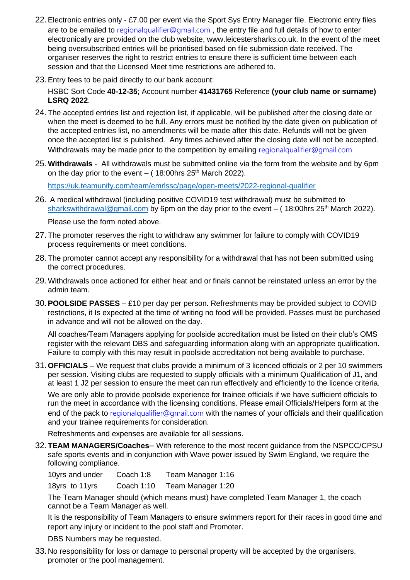- 22.Electronic entries only £7.00 per event via the Sport Sys Entry Manager file. Electronic entry files are to be emailed to [regionalqualifier@gmail.com](mailto:regionalqualifier@gmail.com), the entry file and full details of how to enter electronically are provided on the club website, www.leicestersharks.co.uk. In the event of the meet being oversubscribed entries will be prioritised based on file submission date received. The organiser reserves the right to restrict entries to ensure there is sufficient time between each session and that the Licensed Meet time restrictions are adhered to.
- 23.Entry fees to be paid directly to our bank account:

HSBC Sort Code **40-12-35**; Account number **41431765** Reference **(your club name or surname) LSRQ 2022**.

- 24. The accepted entries list and rejection list, if applicable, will be published after the closing date or when the meet is deemed to be full. Any errors must be notified by the date given on publication of the accepted entries list, no amendments will be made after this date. Refunds will not be given once the accepted list is published. Any times achieved after the closing date will not be accepted. Withdrawals may be made prior to the competition by emailing [regionalqualifier@gmail.com](mailto:regionalqualifier@gmail.com)
- 25.**Withdrawals** All withdrawals must be submitted online via the form from the website and by 6pm on the day prior to the event  $-$  ( 18:00 hrs 25<sup>th</sup> March 2022).

<https://uk.teamunify.com/team/emrlssc/page/open-meets/2022-regional-qualifier>

26. A medical withdrawal (including positive COVID19 test withdrawal) must be submitted to [sharkswithdrawal@gmail.com](mailto:sharkswithdrawal@gmail.com) by 6pm on the day prior to the event  $-$  (18:00hrs 25<sup>th</sup> March 2022).

Please use the form noted above.

- 27. The promoter reserves the right to withdraw any swimmer for failure to comply with COVID19 process requirements or meet conditions.
- 28. The promoter cannot accept any responsibility for a withdrawal that has not been submitted using the correct procedures.
- 29.Withdrawals once actioned for either heat and or finals cannot be reinstated unless an error by the admin team.
- 30.**POOLSIDE PASSES** £10 per day per person. Refreshments may be provided subject to COVID restrictions, it Is expected at the time of writing no food will be provided. Passes must be purchased in advance and will not be allowed on the day.

All coaches/Team Managers applying for poolside accreditation must be listed on their club's OMS register with the relevant DBS and safeguarding information along with an appropriate qualification. Failure to comply with this may result in poolside accreditation not being available to purchase.

31.**OFFICIALS** – We request that clubs provide a minimum of 3 licenced officials or 2 per 10 swimmers per session. Visiting clubs are requested to supply officials with a minimum Qualification of J1, and at least 1 J2 per session to ensure the meet can run effectively and efficiently to the licence criteria.

We are only able to provide poolside experience for trainee officials if we have sufficient officials to run the meet in accordance with the licensing conditions. Please email Officials/Helpers form at the end of the pack to [regionalqualifier@gmail.com](mailto:regionalqualifier@gmail.com) with the names of your officials and their qualification and your trainee requirements for consideration.

Refreshments and expenses are available for all sessions.

32.**TEAM MANAGERS/Coaches**– With reference to the most recent guidance from the NSPCC/CPSU safe sports events and in conjunction with Wave power issued by Swim England, we require the following compliance.

10yrs and under Coach 1:8 Team Manager 1:16

18yrs to 11yrs Coach 1:10 Team Manager 1:20

The Team Manager should (which means must) have completed Team Manager 1, the coach cannot be a Team Manager as well.

It is the responsibility of Team Managers to ensure swimmers report for their races in good time and report any injury or incident to the pool staff and Promoter.

DBS Numbers may be requested.

33. No responsibility for loss or damage to personal property will be accepted by the organisers, promoter or the pool management.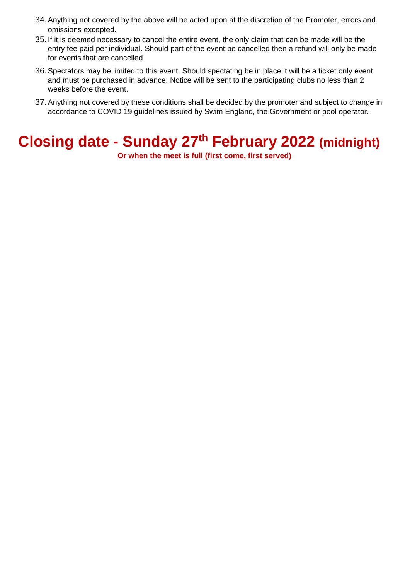- 34.Anything not covered by the above will be acted upon at the discretion of the Promoter, errors and omissions excepted.
- 35.If it is deemed necessary to cancel the entire event, the only claim that can be made will be the entry fee paid per individual. Should part of the event be cancelled then a refund will only be made for events that are cancelled.
- 36.Spectators may be limited to this event. Should spectating be in place it will be a ticket only event and must be purchased in advance. Notice will be sent to the participating clubs no less than 2 weeks before the event.
- 37.Anything not covered by these conditions shall be decided by the promoter and subject to change in accordance to COVID 19 guidelines issued by Swim England, the Government or pool operator.

# **Closing date - Sunday 27th February 2022 (midnight)**

**Or when the meet is full (first come, first served)**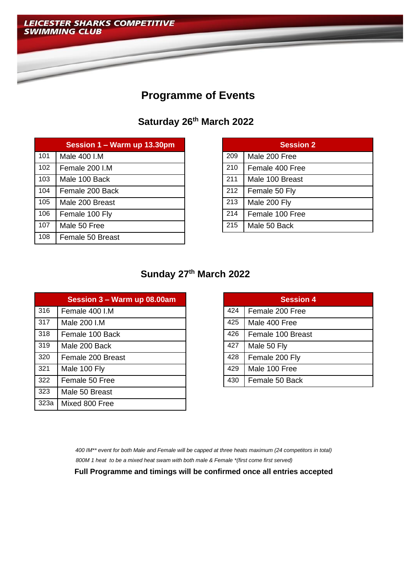

## **Programme of Events**

**Saturday 26th March 2022**

|     | Session 1 - Warm up 13.30pm |     | <b>Session 2</b> |
|-----|-----------------------------|-----|------------------|
| 101 | Male 400 I.M                | 209 | Male 200 Free    |
| 102 | Female 200 I.M              | 210 | Female 400 Free  |
| 103 | Male 100 Back               | 211 | Male 100 Breast  |
| 104 | Female 200 Back             | 212 | Female 50 Fly    |
| 105 | Male 200 Breast             | 213 | Male 200 Fly     |
| 106 | Female 100 Fly              | 214 | Female 100 Free  |
| 107 | Male 50 Free                | 215 | Male 50 Back     |
| 108 | Female 50 Breast            |     |                  |

|     | <b>Session 2</b> |  |  |  |  |  |  |
|-----|------------------|--|--|--|--|--|--|
| 209 | Male 200 Free    |  |  |  |  |  |  |
| 210 | Female 400 Free  |  |  |  |  |  |  |
| 211 | Male 100 Breast  |  |  |  |  |  |  |
| 212 | Female 50 Fly    |  |  |  |  |  |  |
| 213 | Male 200 Fly     |  |  |  |  |  |  |
| 214 | Female 100 Free  |  |  |  |  |  |  |
| 215 | Male 50 Back     |  |  |  |  |  |  |

### **Sunday 27th March 2022**

|      | Session 3 - Warm up 08.00am |     | <b>Session 4</b>  |
|------|-----------------------------|-----|-------------------|
| 316  | Female 400 I.M              | 424 | Female 200 Free   |
| 317  | Male 200 I.M                | 425 | Male 400 Free     |
| 318  | Female 100 Back             | 426 | Female 100 Breast |
| 319  | Male 200 Back               | 427 | Male 50 Fly       |
| 320  | Female 200 Breast           | 428 | Female 200 Fly    |
| 321  | Male 100 Fly                | 429 | Male 100 Free     |
| 322  | Female 50 Free              | 430 | Female 50 Back    |
| 323  | Male 50 Breast              |     |                   |
| 323a | Mixed 800 Free              |     |                   |

|     | <b>Session 4</b>  |  |  |  |  |  |
|-----|-------------------|--|--|--|--|--|
| 424 | Female 200 Free   |  |  |  |  |  |
| 425 | Male 400 Free     |  |  |  |  |  |
| 426 | Female 100 Breast |  |  |  |  |  |
| 427 | Male 50 Fly       |  |  |  |  |  |
| 428 | Female 200 Fly    |  |  |  |  |  |
| 429 | Male 100 Free     |  |  |  |  |  |
| 430 | Female 50 Back    |  |  |  |  |  |

*400 IM\*\* event for both Male and Female will be capped at three heats maximum (24 competitors in total) 800M 1 heat to be a mixed heat swam with both male & Female \*(first come first served)*

**Full Programme and timings will be confirmed once all entries accepted**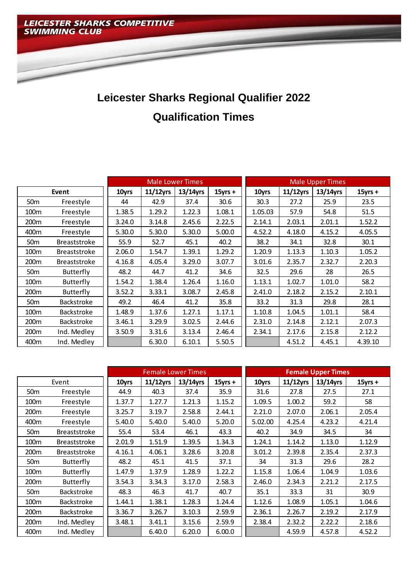

# **Leicester Sharks Regional Qualifier 2022 Qualification Times**

|                  |                     |        |             | <b>Male Lower Times</b> |            |         |             | <b>Male Upper Times</b> |            |
|------------------|---------------------|--------|-------------|-------------------------|------------|---------|-------------|-------------------------|------------|
| Event            |                     | 10yrs  | $11/12$ yrs | 13/14yrs                | $15$ yrs + | 10yrs   | $11/12$ yrs | 13/14yrs                | $15$ yrs + |
| 50 <sub>m</sub>  | Freestyle           | 44     | 42.9        | 37.4                    | 30.6       | 30.3    | 27.2        | 25.9                    | 23.5       |
| 100 <sub>m</sub> | Freestyle           | 1.38.5 | 1.29.2      | 1.22.3                  | 1.08.1     | 1.05.03 | 57.9        | 54.8                    | 51.5       |
| 200m             | Freestyle           | 3.24.0 | 3.14.8      | 2.45.6                  | 2.22.5     | 2.14.1  | 2.03.1      | 2.01.1                  | 1.52.2     |
| 400m             | Freestyle           | 5.30.0 | 5.30.0      | 5.30.0                  | 5.00.0     | 4.52.2  | 4.18.0      | 4.15.2                  | 4.05.5     |
| 50 <sub>m</sub>  | <b>Breaststroke</b> | 55.9   | 52.7        | 45.1                    | 40.2       | 38.2    | 34.1        | 32.8                    | 30.1       |
| 100m             | <b>Breaststroke</b> | 2.06.0 | 1.54.7      | 1.39.1                  | 1.29.2     | 1.20.9  | 1.13.3      | 1.10.3                  | 1.05.2     |
| 200 <sub>m</sub> | <b>Breaststroke</b> | 4.16.8 | 4.05.4      | 3.29.0                  | 3.07.7     | 3.01.6  | 2.35.7      | 2.32.7                  | 2.20.3     |
| 50 <sub>m</sub>  | Butterfly           | 48.2   | 44.7        | 41.2                    | 34.6       | 32.5    | 29.6        | 28                      | 26.5       |
| 100m             | Butterfly           | 1.54.2 | 1.38.4      | 1.26.4                  | 1.16.0     | 1.13.1  | 1.02.7      | 1.01.0                  | 58.2       |
| 200m             | Butterfly           | 3.52.2 | 3.33.1      | 3.08.7                  | 2.45.8     | 2.41.0  | 2.18.2      | 2.15.2                  | 2.10.1     |
| 50 <sub>m</sub>  | Backstroke          | 49.2   | 46.4        | 41.2                    | 35.8       | 33.2    | 31.3        | 29.8                    | 28.1       |
| 100 <sub>m</sub> | <b>Backstroke</b>   | 1.48.9 | 1.37.6      | 1.27.1                  | 1.17.1     | 1.10.8  | 1.04.5      | 1.01.1                  | 58.4       |
| 200 <sub>m</sub> | <b>Backstroke</b>   | 3.46.1 | 3.29.9      | 3.02.5                  | 2.44.6     | 2.31.0  | 2.14.8      | 2.12.1                  | 2.07.3     |
| 200m             | Ind. Medley         | 3.50.9 | 3.31.6      | 3.13.4                  | 2.46.4     | 2.34.1  | 2.17.6      | 2.15.8                  | 2.12.2     |
| 400m             | Ind. Medley         |        | 6.30.0      | 6.10.1                  | 5.50.5     |         | 4.51.2      | 4.45.1                  | 4.39.10    |

|                  |                     | <b>Female Lower Times</b><br><b>Female Upper Times</b> |             |             |            |         |             |          |            |
|------------------|---------------------|--------------------------------------------------------|-------------|-------------|------------|---------|-------------|----------|------------|
| Event            |                     | 10yrs                                                  | $11/12$ yrs | $13/14$ yrs | $15$ yrs + | 10yrs   | $11/12$ yrs | 13/14yrs | $15$ yrs + |
| 50m              | Freestyle           | 44.9                                                   | 40.3        | 37.4        | 35.9       | 31.6    | 27.8        | 27.5     | 27.1       |
| 100m             | Freestyle           | 1.37.7                                                 | 1.27.7      | 1.21.3      | 1.15.2     | 1.09.5  | 1.00.2      | 59.2     | 58         |
| 200m             | Freestyle           | 3.25.7                                                 | 3.19.7      | 2.58.8      | 2.44.1     | 2.21.0  | 2.07.0      | 2.06.1   | 2.05.4     |
| 400m             | Freestyle           | 5.40.0                                                 | 5.40.0      | 5.40.0      | 5.20.0     | 5.02.00 | 4.25.4      | 4.23.2   | 4.21.4     |
| 50m              | <b>Breaststroke</b> | 55.4                                                   | 53.4        | 46.1        | 43.3       | 40.2    | 34.9        | 34.5     | 34         |
| 100m             | <b>Breaststroke</b> | 2.01.9                                                 | 1.51.9      | 1.39.5      | 1.34.3     | 1.24.1  | 1.14.2      | 1.13.0   | 1.12.9     |
| 200m             | <b>Breaststroke</b> | 4.16.1                                                 | 4.06.1      | 3.28.6      | 3.20.8     | 3.01.2  | 2.39.8      | 2.35.4   | 2.37.3     |
| 50m              | Butterfly           | 48.2                                                   | 45.1        | 41.5        | 37.1       | 34      | 31.3        | 29.6     | 28.2       |
| 100 <sub>m</sub> | Butterfly           | 1.47.9                                                 | 1.37.9      | 1.28.9      | 1.22.2     | 1.15.8  | 1.06.4      | 1.04.9   | 1.03.6     |
| 200m             | Butterfly           | 3.54.3                                                 | 3.34.3      | 3.17.0      | 2.58.3     | 2.46.0  | 2.34.3      | 2.21.2   | 2.17.5     |
| 50m              | <b>Backstroke</b>   | 48.3                                                   | 46.3        | 41.7        | 40.7       | 35.1    | 33.3        | 31       | 30.9       |
| 100m             | <b>Backstroke</b>   | 1.44.1                                                 | 1.38.1      | 1.28.3      | 1.24.4     | 1.12.6  | 1.08.9      | 1.05.1   | 1.04.6     |
| 200m             | <b>Backstroke</b>   | 3.36.7                                                 | 3.26.7      | 3.10.3      | 2.59.9     | 2.36.1  | 2.26.7      | 2.19.2   | 2.17.9     |
| 200 <sub>m</sub> | Ind. Medley         | 3.48.1                                                 | 3.41.1      | 3.15.6      | 2.59.9     | 2.38.4  | 2.32.2      | 2.22.2   | 2.18.6     |
| 400m             | Ind. Medley         |                                                        | 6.40.0      | 6.20.0      | 6.00.0     |         | 4.59.9      | 4.57.8   | 4.52.2     |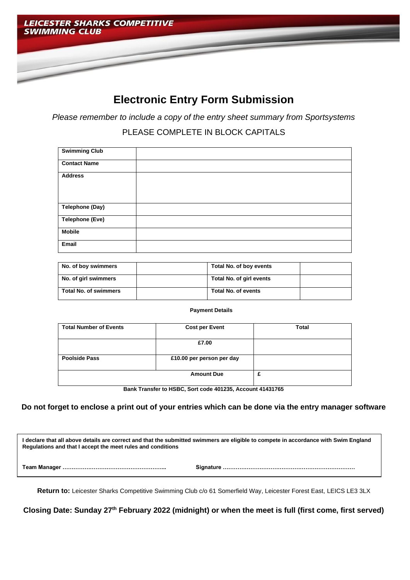

#### **Electronic Entry Form Submission**

*Please remember to include a copy of the entry sheet summary from Sportsystems*

PLEASE COMPLETE IN BLOCK CAPITALS

| <b>Swimming Club</b>   |  |
|------------------------|--|
| <b>Contact Name</b>    |  |
| <b>Address</b>         |  |
| Telephone (Day)        |  |
| <b>Telephone (Eve)</b> |  |
| <b>Mobile</b>          |  |
| Email                  |  |

| No. of boy swimmers          | Total No. of boy events  |
|------------------------------|--------------------------|
| No. of girl swimmers         | Total No. of girl events |
| <b>Total No. of swimmers</b> | Total No. of events      |

**Payment Details** 

| <b>Total Number of Events</b> | <b>Cost per Event</b>     | <b>Total</b> |
|-------------------------------|---------------------------|--------------|
|                               | £7.00                     |              |
| <b>Poolside Pass</b>          | £10.00 per person per day |              |
|                               | <b>Amount Due</b>         | £            |

**Bank Transfer to HSBC, Sort code 401235, Account 41431765** 

**Do not forget to enclose a print out of your entries which can be done via the entry manager software**

**I declare that all above details are correct and that the submitted swimmers are eligible to compete in accordance with Swim England Regulations and that I accept the meet rules and conditions Team Manager ………………………………………………... Signature ………………………………………………………………**

**Return to:** Leicester Sharks Competitive Swimming Club c/o 61 Somerfield Way, Leicester Forest East, LEICS LE3 3LX

**Closing Date: Sunday 27th February 2022 (midnight) or when the meet is full (first come, first served)**